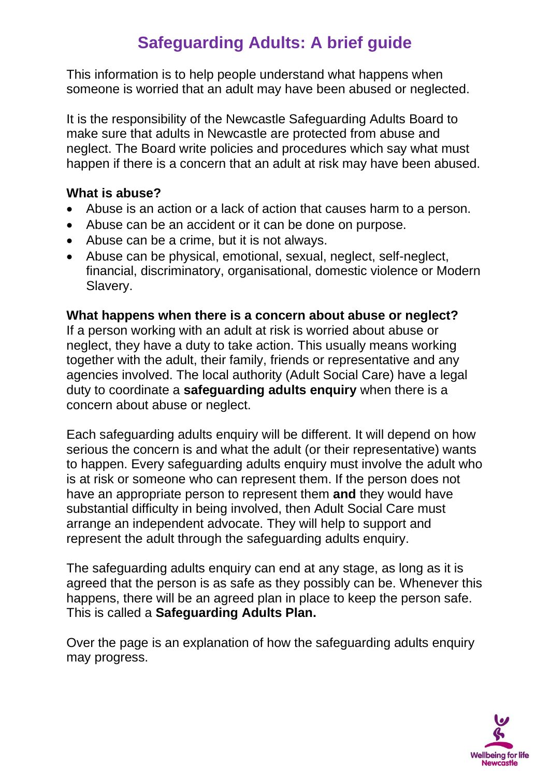# **Safeguarding Adults: A brief guide**

This information is to help people understand what happens when someone is worried that an adult may have been abused or neglected.

It is the responsibility of the Newcastle Safeguarding Adults Board to make sure that adults in Newcastle are protected from abuse and neglect. The Board write policies and procedures which say what must happen if there is a concern that an adult at risk may have been abused.

#### **What is abuse?**

- Abuse is an action or a lack of action that causes harm to a person.
- Abuse can be an accident or it can be done on purpose.
- Abuse can be a crime, but it is not always.
- Abuse can be physical, emotional, sexual, neglect, self-neglect, financial, discriminatory, organisational, domestic violence or Modern Slavery.

### **What happens when there is a concern about abuse or neglect?**

If a person working with an adult at risk is worried about abuse or neglect, they have a duty to take action. This usually means working together with the adult, their family, friends or representative and any agencies involved. The local authority (Adult Social Care) have a legal duty to coordinate a **safeguarding adults enquiry** when there is a concern about abuse or neglect.

Each safeguarding adults enquiry will be different. It will depend on how serious the concern is and what the adult (or their representative) wants to happen. Every safeguarding adults enquiry must involve the adult who is at risk or someone who can represent them. If the person does not have an appropriate person to represent them **and** they would have substantial difficulty in being involved, then Adult Social Care must arrange an independent advocate. They will help to support and represent the adult through the safeguarding adults enquiry.

The safeguarding adults enquiry can end at any stage, as long as it is agreed that the person is as safe as they possibly can be. Whenever this happens, there will be an agreed plan in place to keep the person safe. This is called a **Safeguarding Adults Plan.**

Over the page is an explanation of how the safeguarding adults enquiry may progress.